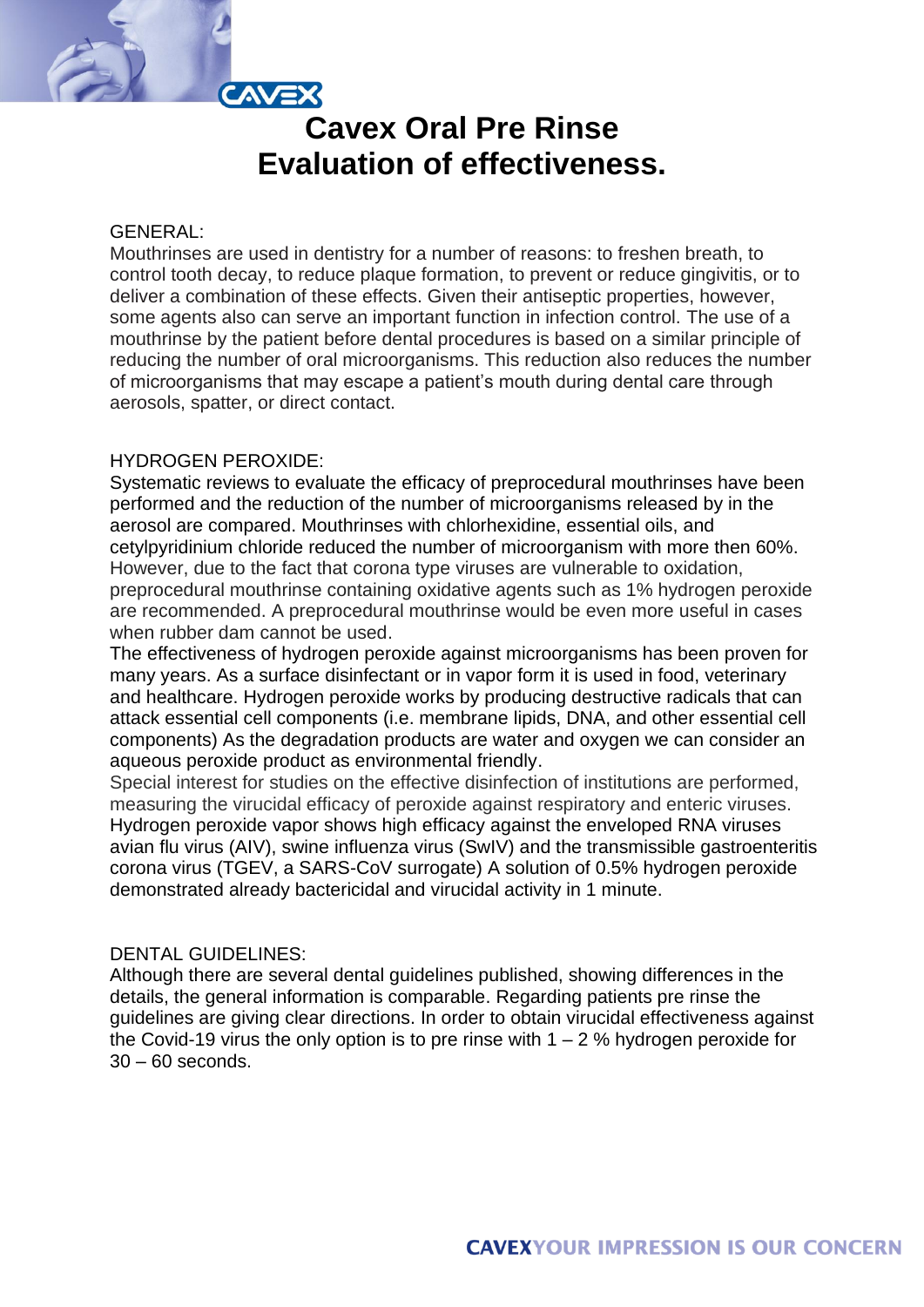

## GENERAL:

Mouthrinses are used in dentistry for a number of reasons: to freshen breath, to control tooth decay, to reduce plaque formation, to prevent or reduce gingivitis, or to deliver a combination of these effects. Given their antiseptic properties, however, some agents also can serve an important function in infection control. The use of a mouthrinse by the patient before dental procedures is based on a similar principle of reducing the number of oral microorganisms. This reduction also reduces the number of microorganisms that may escape a patient's mouth during dental care through aerosols, spatter, or direct contact.

### HYDROGEN PEROXIDE:

Systematic reviews to evaluate the efficacy of preprocedural mouthrinses have been performed and the reduction of the number of microorganisms released by in the aerosol are compared. Mouthrinses with chlorhexidine, essential oils, and cetylpyridinium chloride reduced the number of microorganism with more then 60%. However, due to the fact that corona type viruses are vulnerable to oxidation, preprocedural mouthrinse containing oxidative agents such as 1% hydrogen peroxide are recommended. A preprocedural mouthrinse would be even more useful in cases when rubber dam cannot be used.

The effectiveness of hydrogen peroxide against microorganisms has been proven for many years. As a surface disinfectant or in vapor form it is used in food, veterinary and healthcare. Hydrogen peroxide works by producing destructive radicals that can attack essential cell components (i.e. membrane lipids, DNA, and other essential cell components) As the degradation products are water and oxygen we can consider an aqueous peroxide product as environmental friendly.

Special interest for studies on the effective disinfection of institutions are performed, measuring the virucidal efficacy of peroxide against respiratory and enteric viruses. Hydrogen peroxide vapor shows high efficacy against the enveloped RNA viruses avian flu virus (AIV), swine influenza virus (SwIV) and the transmissible gastroenteritis corona virus (TGEV, a SARS-CoV surrogate) A solution of 0.5% hydrogen peroxide demonstrated already bactericidal and virucidal activity in 1 minute.

## DENTAL GUIDELINES:

Although there are several dental guidelines published, showing differences in the details, the general information is comparable. Regarding patients pre rinse the guidelines are giving clear directions. In order to obtain virucidal effectiveness against the Covid-19 virus the only option is to pre rinse with  $1 - 2$  % hydrogen peroxide for 30 – 60 seconds.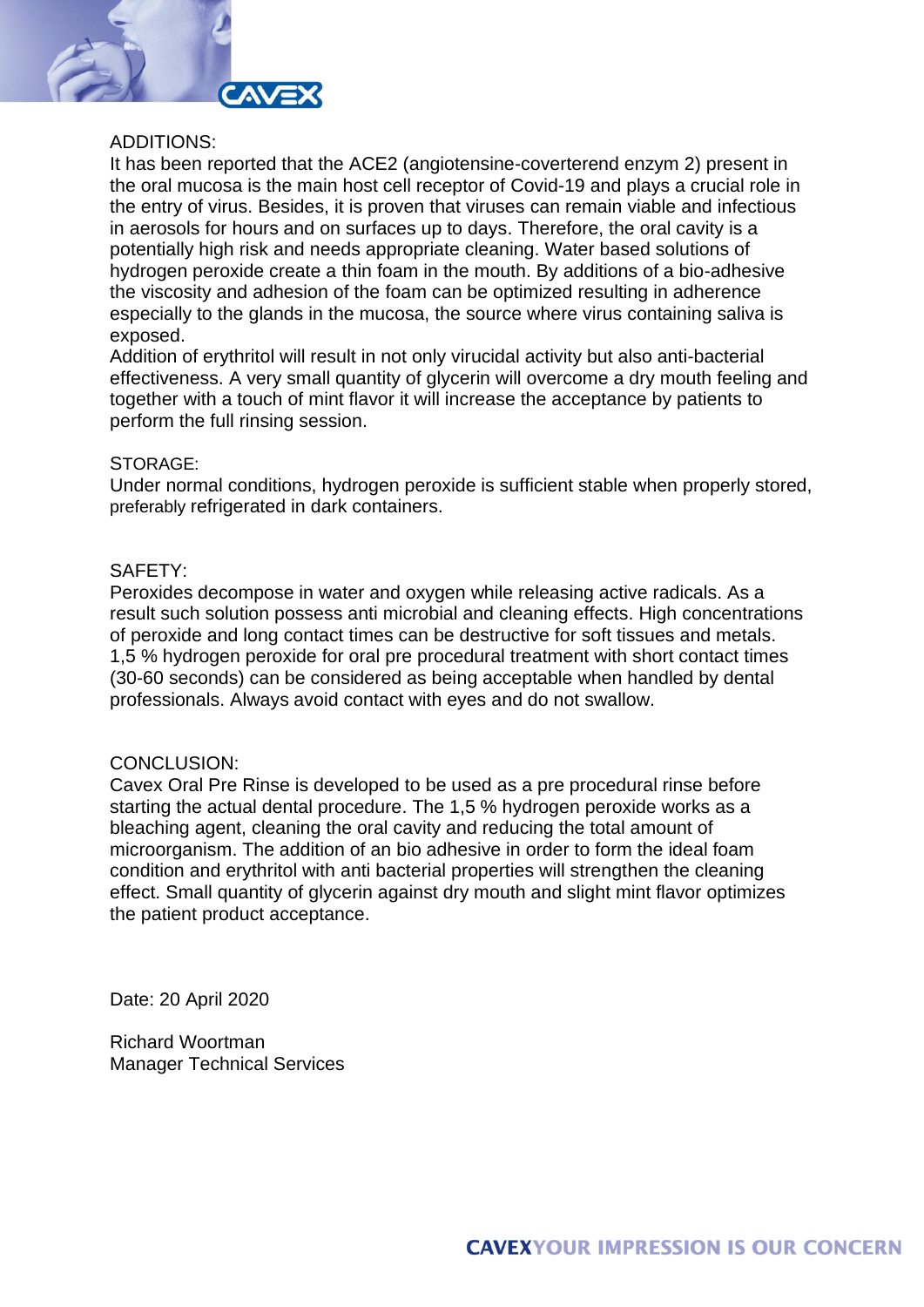

## ADDITIONS:

It has been reported that the ACE2 (angiotensine-coverterend enzym 2) present in the oral mucosa is the main host cell receptor of Covid-19 and plays a crucial role in the entry of virus. Besides, it is proven that viruses can remain viable and infectious in aerosols for hours and on surfaces up to days. Therefore, the oral cavity is a potentially high risk and needs appropriate cleaning. Water based solutions of hydrogen peroxide create a thin foam in the mouth. By additions of a bio-adhesive the viscosity and adhesion of the foam can be optimized resulting in adherence especially to the glands in the mucosa, the source where virus containing saliva is exposed.

Addition of erythritol will result in not only virucidal activity but also anti-bacterial effectiveness. A very small quantity of glycerin will overcome a dry mouth feeling and together with a touch of mint flavor it will increase the acceptance by patients to perform the full rinsing session.

## STORAGE:

Under normal conditions, hydrogen peroxide is sufficient stable when properly stored, preferably refrigerated in dark containers.

# SAFETY:

Peroxides decompose in water and oxygen while releasing active radicals. As a result such solution possess anti microbial and cleaning effects. High concentrations of peroxide and long contact times can be destructive for soft tissues and metals. 1,5 % hydrogen peroxide for oral pre procedural treatment with short contact times (30-60 seconds) can be considered as being acceptable when handled by dental professionals. Always avoid contact with eyes and do not swallow.

# CONCLUSION:

Cavex Oral Pre Rinse is developed to be used as a pre procedural rinse before starting the actual dental procedure. The 1,5 % hydrogen peroxide works as a bleaching agent, cleaning the oral cavity and reducing the total amount of microorganism. The addition of an bio adhesive in order to form the ideal foam condition and erythritol with anti bacterial properties will strengthen the cleaning effect. Small quantity of glycerin against dry mouth and slight mint flavor optimizes the patient product acceptance.

Date: 20 April 2020

Richard Woortman Manager Technical Services